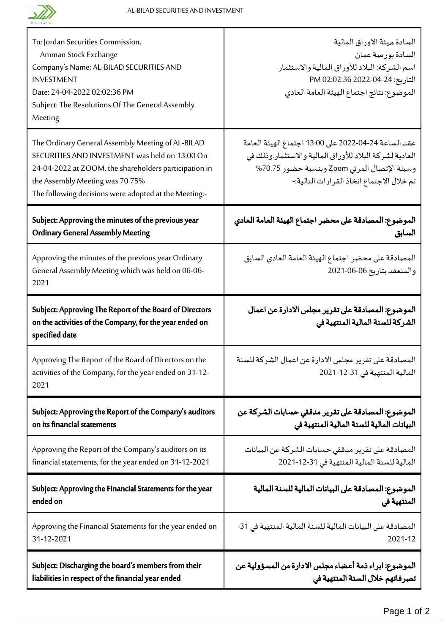

Т

| To: Jordan Securities Commission,<br>Amman Stock Exchange<br>Company's Name: AL-BILAD SECURITIES AND<br><b>INVESTMENT</b><br>Date: 24-04-2022 02:02:36 PM<br>Subject: The Resolutions Of The General Assembly<br>Meeting                                 | السادة ميئة الاوراق المالية<br>السادة بورصة عمان<br>اسم الشركة: البلاد للأوراق المالية والاستثمار<br>التاريخ: 24-04-2022 202:02:36 PM<br>الموضوع: نتائج اجتماع الهيئة العامة العادي                          |  |
|----------------------------------------------------------------------------------------------------------------------------------------------------------------------------------------------------------------------------------------------------------|--------------------------------------------------------------------------------------------------------------------------------------------------------------------------------------------------------------|--|
| The Ordinary General Assembly Meeting of AL-BILAD<br>SECURITIES AND INVESTMENT was held on 13:00 On<br>24-04-2022 at ZOOM, the shareholders participation in<br>the Assembly Meeting was 70.75%<br>The following decisions were adopted at the Meeting:- | عقد الساعة 24-04-2022 على 13:00 اجتماع الهيئة العامة<br>العادية لشركة البلاد للأوراق المالية والاستثمار وذلك في<br>وسيلة الإتصال المرئي Zoom وبنسبة حضور 70.75%<br>تم خلال الاجتماع اتخاذ القرارات التالية:- |  |
| Subject: Approving the minutes of the previous year                                                                                                                                                                                                      | الموضوع: المصادقة على محضر اجتماع الهيئة العامة العادي                                                                                                                                                       |  |
| <b>Ordinary General Assembly Meeting</b>                                                                                                                                                                                                                 | السابق                                                                                                                                                                                                       |  |
| Approving the minutes of the previous year Ordinary<br>General Assembly Meeting which was held on 06-06-<br>2021                                                                                                                                         | المصادقة على محضر اجتماع الهيئة العامة العادي السابق<br>والمنعقد بتاريخ 06-06-2021                                                                                                                           |  |
| Subject: Approving The Report of the Board of Directors<br>on the activities of the Company, for the year ended on<br>specified date                                                                                                                     | الموضوع: المصادقة على تقرير مجلس الادارة عن اعمال<br>الشركة للسنة المالية المنتهية في                                                                                                                        |  |
| Approving The Report of the Board of Directors on the<br>activities of the Company, for the year ended on 31-12-<br>2021                                                                                                                                 | المصادقة على تقرير مجلس الادارة عن اعمال الشركة للسنة<br>المالية المنتهية في 31-12-2021                                                                                                                      |  |
| Subject: Approving the Report of the Company's auditors                                                                                                                                                                                                  | الموضوع: المصادقة على تقرير مدققي حسابات الشركة عن                                                                                                                                                           |  |
| on its financial statements                                                                                                                                                                                                                              | البيانات المالية للسنة المالية المنتهية في                                                                                                                                                                   |  |
| Approving the Report of the Company's auditors on its                                                                                                                                                                                                    | المصادقة على تقرير مدققى حسابات الشركة عن البيانات                                                                                                                                                           |  |
| financial statements, for the year ended on 31-12-2021                                                                                                                                                                                                   | المالية للسنة المالية المنتهية في 31-12-2021                                                                                                                                                                 |  |
| Subject: Approving the Financial Statements for the year                                                                                                                                                                                                 | الموضوع: المصادقة على البيانات المالية للسنة المالية                                                                                                                                                         |  |
| ended on                                                                                                                                                                                                                                                 | المنتهية فى                                                                                                                                                                                                  |  |
| Approving the Financial Statements for the year ended on                                                                                                                                                                                                 | المصادقة على البيانات المالية للسنة المالية المنتهية في 31-                                                                                                                                                  |  |
| 31-12-2021                                                                                                                                                                                                                                               | 2021-12                                                                                                                                                                                                      |  |
| Subject: Discharging the board's members from their                                                                                                                                                                                                      | الموضوع: ابراء ذمة أعضاء مجلس الادارة من المسؤولية عن                                                                                                                                                        |  |
| liabilities in respect of the financial year ended                                                                                                                                                                                                       | تصرفاتهم خلال السنة المنتهية في                                                                                                                                                                              |  |